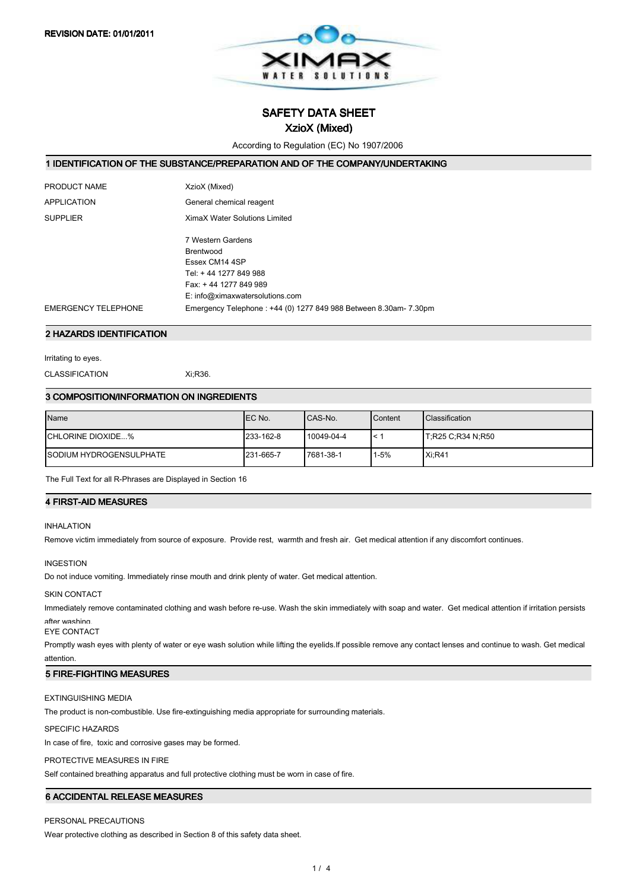

SAFETY DATA SHEET

## XzioX (Mixed)

According to Regulation (EC) No 1907/2006

#### 1 IDENTIFICATION OF THE SUBSTANCE/PREPARATION AND OF THE COMPANY/UNDERTAKING

| PRODUCT NAME               | XzioX (Mixed)                                                    |
|----------------------------|------------------------------------------------------------------|
| <b>APPLICATION</b>         | General chemical reagent                                         |
| <b>SUPPLIER</b>            | XimaX Water Solutions Limited                                    |
|                            | 7 Western Gardens                                                |
|                            | Brentwood                                                        |
|                            | Essex CM14 4SP                                                   |
|                            | Tel: +44 1277 849 988                                            |
|                            | Fax: +44 1277 849 989                                            |
|                            | E: info@ximaxwatersolutions.com                                  |
| <b>EMERGENCY TELEPHONE</b> | Emergency Telephone: +44 (0) 1277 849 988 Between 8.30am- 7.30pm |
|                            |                                                                  |

## 2 HAZARDS IDENTIFICATION

Irritating to eyes.

CLASSIFICATION Xi;R36.

#### 3 COMPOSITION/INFORMATION ON INGREDIENTS

| <b>Name</b>                     | IEC No.   | ICAS-No.   | Content  | <b>Classification</b> |
|---------------------------------|-----------|------------|----------|-----------------------|
| ICHLORINE DIOXIDE%              | 233-162-8 | 10049-04-4 |          | T;R25 C;R34 N;R50     |
| <b>ISODIUM HYDROGENSULPHATE</b> | 231-665-7 | 7681-38-1  | $1 - 5%$ | Xi:RA1                |

The Full Text for all R-Phrases are Displayed in Section 16

## **4 FIRST-AID MEASURES**

#### INHALATION

Remove victim immediately from source of exposure. Provide rest, warmth and fresh air. Get medical attention if any discomfort continues.

#### INGESTION

Do not induce vomiting. Immediately rinse mouth and drink plenty of water. Get medical attention.

#### SKIN CONTACT

Immediately remove contaminated clothing and wash before re-use. Wash the skin immediately with soap and water. Get medical attention if irritation persists after washing.

EYE CONTACT

Promptly wash eyes with plenty of water or eye wash solution while lifting the eyelids.If possible remove any contact lenses and continue to wash. Get medical attention

#### **5 FIRE-FIGHTING MEASURES**

## EXTINGUISHING MEDIA

The product is non-combustible. Use fire-extinguishing media appropriate for surrounding materials.

#### SPECIFIC HAZARDS

In case of fire, toxic and corrosive gases may be formed.

PROTECTIVE MEASURES IN FIRE

Self contained breathing apparatus and full protective clothing must be worn in case of fire.

## 6 ACCIDENTAL RELEASE MEASURES

## PERSONAL PRECAUTIONS

Wear protective clothing as described in Section 8 of this safety data sheet.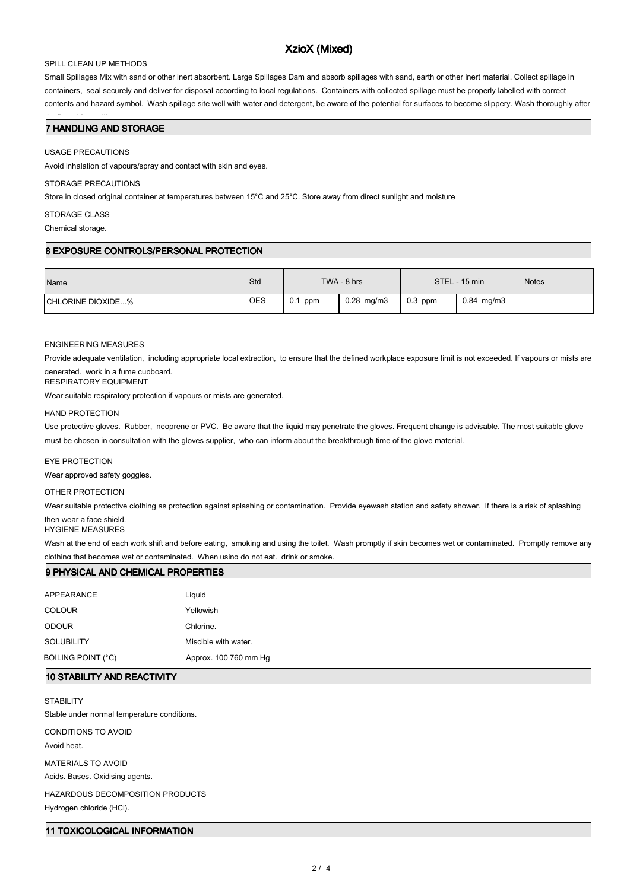# XzioX (Mixed)

## SPILL CLEAN UP METHODS

Small Spillages Mix with sand or other inert absorbent. Large Spillages Dam and absorb spillages with sand, earth or other inert material. Collect spillage in containers, seal securely and deliver for disposal according to local regulations. Containers with collected spillage must be properly labelled with correct contents and hazard symbol. Wash spillage site well with water and detergent, be aware of the potential for surfaces to become slippery. Wash thoroughly after

## 7 HANDLING AND STORAGE

#### USAGE PRECAUTIONS

dealing with a spillage.

Avoid inhalation of vapours/spray and contact with skin and eyes.

#### STORAGE PRECAUTIONS

Store in closed original container at temperatures between 15°C and 25°C. Store away from direct sunlight and moisture

#### STORAGE CLASS

Chemical storage.

## 8 EXPOSURE CONTROLS/PERSONAL PROTECTION

| Name               | Std        | TWA - 8 hrs |              | STEL - 15 min |              | <b>Notes</b> |
|--------------------|------------|-------------|--------------|---------------|--------------|--------------|
| ICHLORINE DIOXIDE% | <b>OES</b> | $0.1$ ppm   | $0.28$ mg/m3 | $0.3$ ppm     | $0.84$ mg/m3 |              |

#### ENGINEERING MEASURES

Provide adequate ventilation, including appropriate local extraction, to ensure that the defined workplace exposure limit is not exceeded. If vapours or mists are generated, work in a fume cupboard.

RESPIRATORY EQUIPMENT

Wear suitable respiratory protection if vapours or mists are generated.

#### HAND PROTECTION

Use protective gloves. Rubber, neoprene or PVC. Be aware that the liquid may penetrate the gloves. Frequent change is advisable. The most suitable glove must be chosen in consultation with the gloves supplier, who can inform about the breakthrough time of the glove material.

## EYE PROTECTION

Wear approved safety goggles.

## OTHER PROTECTION

Wear suitable protective clothing as protection against splashing or contamination. Provide eyewash station and safety shower. If there is a risk of splashing then wear a face shield.

HYGIENE MEASURES

Wash at the end of each work shift and before eating, smoking and using the toilet. Wash promptly if skin becomes wet or contaminated. Promptly remove any clothing that becomes wet or contaminated. When using do not eat, drink or smoke.

#### 9 PHYSICAL AND CHEMICAL PROPERTIES

| APPEARANCE         | Liguid                |
|--------------------|-----------------------|
| <b>COLOUR</b>      | Yellowish             |
| <b>ODOUR</b>       | Chlorine.             |
| <b>SOLUBILITY</b>  | Miscible with water.  |
| BOILING POINT (°C) | Approx. 100 760 mm Hg |

## 10 STABILITY AND REACTIVITY

**STABILITY** Stable under normal temperature conditions.

CONDITIONS TO AVOID Avoid heat.

MATERIALS TO AVOID

Acids. Bases. Oxidising agents.

# HAZARDOUS DECOMPOSITION PRODUCTS

Hydrogen chloride (HCl).

## 11 TOXICOLOGICAL INFORMATION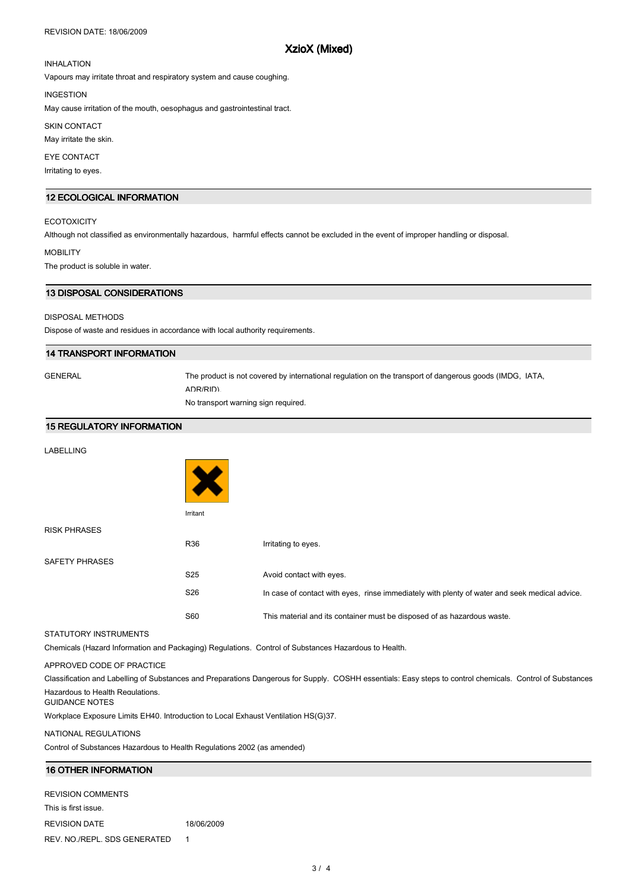#### REVISION DATE: 18/06/2009

## XzioX (Mixed)

# INHALATION

Vapours may irritate throat and respiratory system and cause coughing.

INGESTION

May cause irritation of the mouth, oesophagus and gastrointestinal tract.

SKIN CONTACT

May irritate the skin.

EYE CONTACT

Irritating to eyes.

## 12 ECOLOGICAL INFORMATION

#### **ECOTOXICITY**

Although not classified as environmentally hazardous, harmful effects cannot be excluded in the event of improper handling or disposal.

MOBILITY

The product is soluble in water.

#### 13 DISPOSAL CONSIDERATIONS

#### DISPOSAL METHODS

Dispose of waste and residues in accordance with local authority requirements.

## 14 TRANSPORT INFORMATION

GENERAL The product is not covered by international regulation on the transport of dangerous goods (IMDG, IATA, ADR/RID).

No transport warning sign required.

#### 15 REGULATORY INFORMATION

| LABELLING |  |
|-----------|--|
|-----------|--|

|                       | Irritant        |                                                                                               |
|-----------------------|-----------------|-----------------------------------------------------------------------------------------------|
| <b>RISK PHRASES</b>   |                 |                                                                                               |
|                       | R36             | Irritating to eyes.                                                                           |
| <b>SAFETY PHRASES</b> |                 |                                                                                               |
|                       | S <sub>25</sub> | Avoid contact with eyes.                                                                      |
|                       | S <sub>26</sub> | In case of contact with eyes, rinse immediately with plenty of water and seek medical advice. |
|                       | S60             | This material and its container must be disposed of as hazardous waste.                       |

#### STATUTORY INSTRUMENTS

Chemicals (Hazard Information and Packaging) Regulations. Control of Substances Hazardous to Health.

APPROVED CODE OF PRACTICE

Classification and Labelling of Substances and Preparations Dangerous for Supply. COSHH essentials: Easy steps to control chemicals. Control of Substances Hazardous to Health Regulations.

GUIDANCE NOTES

Workplace Exposure Limits EH40. Introduction to Local Exhaust Ventilation HS(G)37.

#### NATIONAL REGULATIONS

Control of Substances Hazardous to Health Regulations 2002 (as amended)

## 16 OTHER INFORMATION

REVISION COMMENTS This is first issue. REVISION DATE 18/06/2009 REV. NO./REPL. SDS GENERATED 1